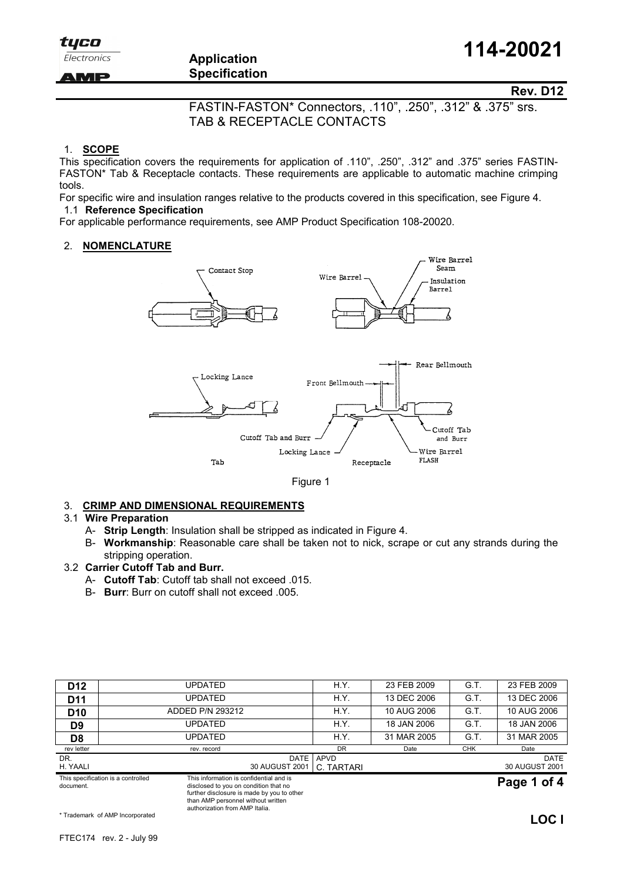Electronics

AMP

# Application **Specification**

Rev. D12

 FASTIN-FASTON\* Connectors, .110", .250", .312" & .375" srs. TAB & RECEPTACLE CONTACTS

#### 1. SCOPE

This specification covers the requirements for application of .110", .250", .312" and .375" series FASTIN-FASTON\* Tab & Receptacle contacts. These requirements are applicable to automatic machine crimping tools.

For specific wire and insulation ranges relative to the products covered in this specification, see Figure 4. 1.1 Reference Specification

For applicable performance requirements, see AMP Product Specification 108-20020.

#### 2. NOMENCLATURE





#### 3. CRIMP AND DIMENSIONAL REQUIREMENTS

#### 3.1 Wire Preparation

A- Strip Length: Insulation shall be stripped as indicated in Figure 4.

authorization from AMP Italia.

B- Workmanship: Reasonable care shall be taken not to nick, scrape or cut any strands during the stripping operation.

### 3.2 Carrier Cutoff Tab and Burr.

- A- Cutoff Tab: Cutoff tab shall not exceed .015.
- B- Burr: Burr on cutoff shall not exceed .005.

| This specification is a controlled<br>document. |         | This information is confidential and is<br>disclosed to you on condition that no<br>further disclosure is made by you to other<br>than AMP personnel without written |                          |                    |             |            | Page 1 of 4                   |  |
|-------------------------------------------------|---------|----------------------------------------------------------------------------------------------------------------------------------------------------------------------|--------------------------|--------------------|-------------|------------|-------------------------------|--|
| DR.<br>H. YAALI                                 |         |                                                                                                                                                                      | DATE  <br>30 AUGUST 2001 | APVD<br>C. TARTARI |             |            | <b>DATE</b><br>30 AUGUST 2001 |  |
| rev letter                                      |         | rev. record                                                                                                                                                          |                          | <b>DR</b>          | Date        | <b>CHK</b> | Date                          |  |
| D8                                              |         | UPDATED                                                                                                                                                              |                          | H.Y.               | 31 MAR 2005 | G.T.       | 31 MAR 2005                   |  |
| D <sub>9</sub>                                  |         | UPDATED                                                                                                                                                              |                          | H.Y.               | 18 JAN 2006 | G.T.       | 18 JAN 2006                   |  |
| D <sub>10</sub>                                 |         | ADDED P/N 293212                                                                                                                                                     |                          | H.Y.               | 10 AUG 2006 | G.T.       | 10 AUG 2006                   |  |
| D <sub>11</sub>                                 | UPDATED |                                                                                                                                                                      |                          | H.Y.               | 13 DEC 2006 | G.T.       | 13 DEC 2006                   |  |
| D <sub>12</sub>                                 |         | <b>UPDATED</b>                                                                                                                                                       |                          | H.Y.               | 23 FEB 2009 | G.T.       | 23 FEB 2009                   |  |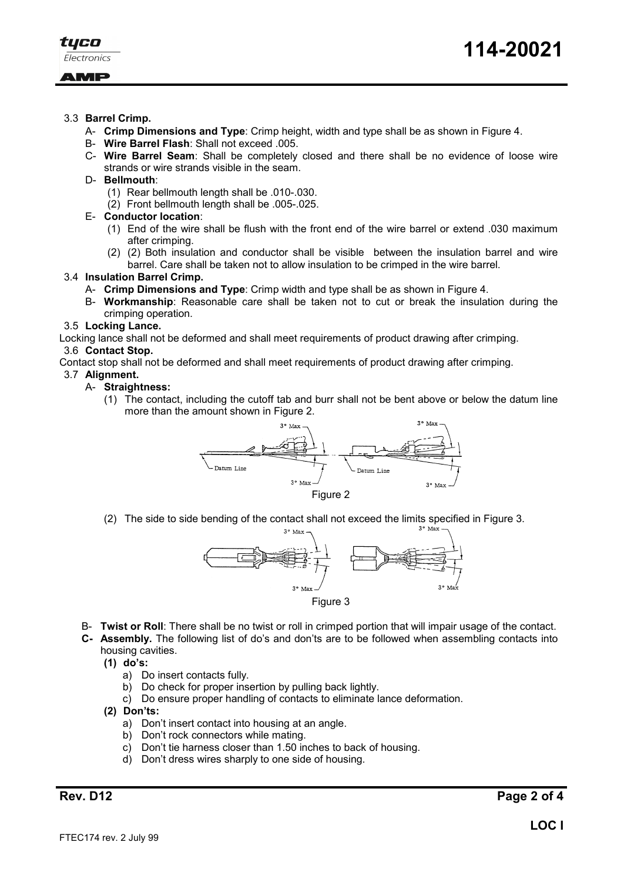

### AMP

- 3.3 Barrel Crimp.
	- A- Crimp Dimensions and Type: Crimp height, width and type shall be as shown in Figure 4.
	- B- Wire Barrel Flash: Shall not exceed .005.
	- C- Wire Barrel Seam: Shall be completely closed and there shall be no evidence of loose wire strands or wire strands visible in the seam.
	- D- Bellmouth:
		- (1) Rear bellmouth length shall be .010-.030.
		- (2) Front bellmouth length shall be .005-.025.

#### E- Conductor location:

- (1) End of the wire shall be flush with the front end of the wire barrel or extend .030 maximum after crimping.
- (2) (2) Both insulation and conductor shall be visible between the insulation barrel and wire barrel. Care shall be taken not to allow insulation to be crimped in the wire barrel.

#### 3.4 Insulation Barrel Crimp.

- A- Crimp Dimensions and Type: Crimp width and type shall be as shown in Figure 4.
- B- Workmanship: Reasonable care shall be taken not to cut or break the insulation during the crimping operation.

#### 3.5 Locking Lance.

Locking lance shall not be deformed and shall meet requirements of product drawing after crimping.

#### 3.6 Contact Stop.

Contact stop shall not be deformed and shall meet requirements of product drawing after crimping.

### 3.7 Alignment.

#### A- Straightness:

(1) The contact, including the cutoff tab and burr shall not be bent above or below the datum line more than the amount shown in Figure 2.



(2) The side to side bending of the contact shall not exceed the limits specified in Figure 3.



- B- Twist or Roll: There shall be no twist or roll in crimped portion that will impair usage of the contact.
- C- Assembly. The following list of do's and don'ts are to be followed when assembling contacts into housing cavities.
	- (1) do's:
		- a) Do insert contacts fully.
		- b) Do check for proper insertion by pulling back lightly.
		- c) Do ensure proper handling of contacts to eliminate lance deformation.
	- (2) Don'ts:
		- a) Don't insert contact into housing at an angle.
		- b) Don't rock connectors while mating.
		- c) Don't tie harness closer than 1.50 inches to back of housing.
		- d) Don't dress wires sharply to one side of housing.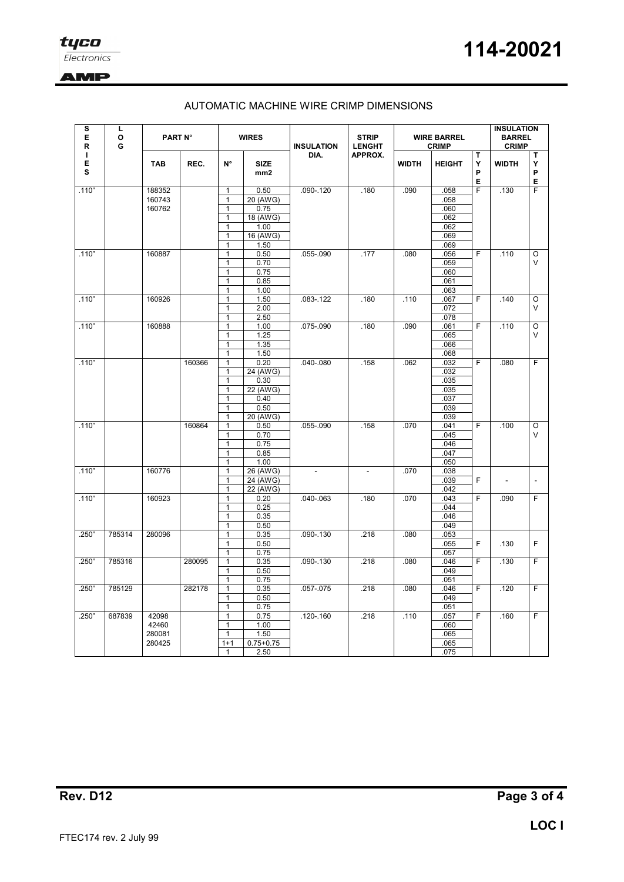

## **AMP**

## AUTOMATIC MACHINE WIRE CRIMP DIMENSIONS

| s<br>Ц<br>E<br>O<br>G<br>R |        | PART N°    |              | <b>WIRES</b>                 |                               | <b>INSULATION</b> | <b>STRIP</b><br><b>LENGHT</b> | <b>WIRE BARREL</b><br><b>CRIMP</b> |               |                  | <b>INSULATION</b><br><b>BARREL</b><br><b>CRIMP</b> |                  |  |  |  |
|----------------------------|--------|------------|--------------|------------------------------|-------------------------------|-------------------|-------------------------------|------------------------------------|---------------|------------------|----------------------------------------------------|------------------|--|--|--|
| т<br>Е<br>s                |        | <b>TAB</b> | REC.         | $N^{\circ}$                  | <b>SIZE</b><br>mm2            | DIA.              | APPROX.                       | <b>WIDTH</b>                       | <b>HEIGHT</b> | т<br>Y<br>P<br>Е | <b>WIDTH</b>                                       | Т<br>Y<br>P<br>Е |  |  |  |
| .110"                      |        | 188352     |              | 1                            | 0.50                          | .090-.120         | .180                          | .090                               | .058          | $\overline{F}$   | .130                                               | F                |  |  |  |
|                            |        | 160743     |              | 1                            | 20 (AWG)                      |                   |                               |                                    | .058          |                  |                                                    |                  |  |  |  |
|                            |        | 160762     |              | 1                            | 0.75                          |                   |                               |                                    | .060          |                  |                                                    |                  |  |  |  |
|                            |        |            |              | $\overline{1}$               | $18$ (AWG)                    |                   |                               |                                    | .062          |                  |                                                    |                  |  |  |  |
|                            |        |            |              | $\mathbf{1}$<br>$\mathbf{1}$ | 1.00<br>$\overline{16}$ (AWG) |                   |                               |                                    | .062<br>.069  |                  |                                                    |                  |  |  |  |
|                            |        |            |              | $\mathbf{1}$                 | 1.50                          |                   |                               |                                    | .069          |                  |                                                    |                  |  |  |  |
| .110"                      | 160887 |            | $\mathbf{1}$ | 0.50                         | .055-.090                     | .177              | .080                          | .056                               | F             | .110             | O                                                  |                  |  |  |  |
|                            |        |            |              | $\mathbf{1}$                 | 0.70                          |                   |                               |                                    | .059          |                  |                                                    | $\vee$           |  |  |  |
|                            |        |            |              | 1                            | 0.75                          |                   |                               |                                    | .060          |                  |                                                    |                  |  |  |  |
|                            |        |            |              | $\mathbf{1}$                 | 0.85                          |                   |                               |                                    | 061           |                  |                                                    |                  |  |  |  |
|                            |        |            |              | $\mathbf{1}$                 | 1.00                          |                   |                               |                                    | .063          |                  |                                                    |                  |  |  |  |
| .110"                      |        | 160926     |              | $\mathbf{1}$                 | 1.50                          | .083-.122         | .180                          | .110                               | .067          | $\overline{F}$   | .140                                               | $\circ$          |  |  |  |
|                            |        |            |              | 1                            | 2.00                          |                   |                               |                                    | .072          |                  |                                                    | V                |  |  |  |
|                            |        |            |              | $\mathbf{1}$                 | 2.50                          |                   |                               |                                    | .078          | $\overline{F}$   |                                                    |                  |  |  |  |
| .110"                      |        | 160888     |              | $\mathbf{1}$<br>$\mathbf{1}$ | 1.00<br>1.25                  | .075-.090         | .180                          | .090                               | .061<br>.065  |                  | .110                                               | $\circ$<br>V     |  |  |  |
|                            |        |            |              | 1                            | 1.35                          |                   |                               |                                    | .066          |                  |                                                    |                  |  |  |  |
|                            |        |            |              | $\mathbf{1}$                 | 1.50                          |                   |                               |                                    | .068          |                  |                                                    |                  |  |  |  |
| .110"                      |        |            | 160366       | $\mathbf{1}$                 | 0.20                          | .040-.080         | .158                          | .062                               | .032          | $\overline{F}$   | .080                                               | F                |  |  |  |
|                            |        |            |              | 1                            | 24 (AWG)                      |                   |                               |                                    | .032          |                  |                                                    |                  |  |  |  |
|                            |        |            |              | $\mathbf{1}$                 | 0.30                          |                   |                               |                                    | .035          |                  |                                                    |                  |  |  |  |
|                            |        |            |              | 1                            | 22 (AWG)                      |                   |                               |                                    | .035          |                  |                                                    |                  |  |  |  |
|                            |        |            |              | 1                            | 0.40                          |                   |                               |                                    | .037          |                  |                                                    |                  |  |  |  |
|                            |        |            |              | 1                            | 0.50                          |                   |                               |                                    | .039          |                  |                                                    |                  |  |  |  |
|                            |        |            |              | $\mathbf{1}$                 | 20 (AWG)                      |                   |                               |                                    | .039          |                  |                                                    |                  |  |  |  |
| .110"                      |        |            | 160864       | 1<br>1                       | 0.50<br>0.70                  | .055-.090         | .158                          | .070                               | .041<br>.045  | F                | .100                                               | O<br>V           |  |  |  |
|                            |        |            |              | $\mathbf{1}$                 | 0.75                          |                   |                               |                                    | .046          |                  |                                                    |                  |  |  |  |
|                            |        |            |              | 1                            | 0.85                          |                   |                               |                                    | 047           |                  |                                                    |                  |  |  |  |
|                            |        |            |              | 1                            | 1.00                          |                   |                               |                                    | .050          |                  |                                                    |                  |  |  |  |
| .110"                      | 160776 |            |              |                              |                               |                   | 1                             | 26 (AWG)                           |               | L.               | .070                                               | .038             |  |  |  |
|                            |        |            |              | $\mathbf{1}$                 | 24 (AWG)                      |                   |                               |                                    | .039          | F                | $\overline{a}$                                     | $\overline{a}$   |  |  |  |
|                            |        |            |              | $\mathbf{1}$                 | 22 (AWG)                      |                   |                               |                                    | .042          |                  |                                                    |                  |  |  |  |
| .110"                      |        | 160923     |              | 1                            | 0.20                          | $.040 - .063$     | .180                          | .070                               | .043          | F                | .090                                               | F                |  |  |  |
|                            |        |            |              | 1                            | 0.25                          |                   |                               |                                    | .044          |                  |                                                    |                  |  |  |  |
|                            |        |            |              | $\mathbf{1}$                 | 0.35                          |                   |                               |                                    | 046           |                  |                                                    |                  |  |  |  |
|                            |        |            |              | 1                            | 0.50                          |                   |                               |                                    | 049           |                  |                                                    |                  |  |  |  |
| .250"                      | 785314 | 280096     |              | $\mathbf{1}$<br>1            | 0.35<br>0.50                  | .090-.130         | .218                          | .080                               | 053<br>055    | F                | .130                                               | F                |  |  |  |
|                            |        |            |              | 1                            | 0.75                          |                   |                               |                                    | 057           |                  |                                                    |                  |  |  |  |
| .250"                      | 785316 |            | 280095       | 1                            | 0.35                          | .090-.130         | .218                          | .080                               | .046          | F                | .130                                               | F                |  |  |  |
|                            |        |            |              | $\mathbf{1}$                 | 0.50                          |                   |                               |                                    | .049          |                  |                                                    |                  |  |  |  |
|                            |        |            |              | $\mathbf{1}$                 | 0.75                          |                   |                               |                                    | 051           |                  |                                                    |                  |  |  |  |
| .250"                      | 785129 |            | 282178       | $\mathbf{1}$                 | 0.35                          | $.057 - .075$     | .218                          | .080                               | 046           | F                | .120                                               | F                |  |  |  |
|                            |        |            |              | $\mathbf{1}$                 | 0.50                          |                   |                               |                                    | .049          |                  |                                                    |                  |  |  |  |
|                            |        |            |              | $\mathbf{1}$                 | 0.75                          |                   |                               |                                    | .051          |                  |                                                    |                  |  |  |  |
| .250"                      | 687839 | 42098      |              | $\mathbf{1}$                 | 0.75                          | $.120 - .160$     | .218                          | .110                               | .057          | F                | .160                                               | F                |  |  |  |
|                            |        | 42460      |              | 1                            | 1.00                          |                   |                               |                                    | .060          |                  |                                                    |                  |  |  |  |
|                            |        | 280081     |              | $\mathbf{1}$                 | 1.50                          |                   |                               |                                    | .065          |                  |                                                    |                  |  |  |  |
|                            |        | 280425     |              | $1 + 1$<br>$\mathbf{1}$      | $0.75 + 0.75$<br>2.50         |                   |                               |                                    | .065<br>.075  |                  |                                                    |                  |  |  |  |
|                            |        |            |              |                              |                               |                   |                               |                                    |               |                  |                                                    |                  |  |  |  |